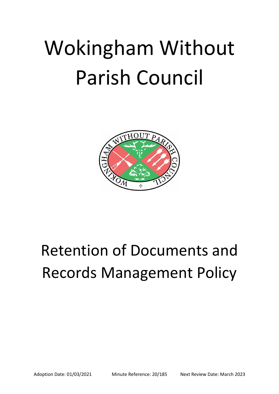# Wokingham Without Parish Council



## Retention of Documents and Records Management Policy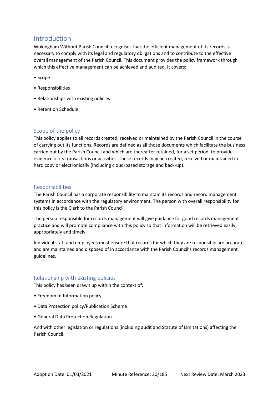### Introduction

Wokingham Without Parish Council recognises that the efficient management of its records is necessary to comply with its legal and regulatory obligations and to contribute to the effective overall management of the Parish Council. This document provides the policy framework through which this effective management can be achieved and audited. It covers:

- Scope
- Responsibilities
- Relationships with existing policies
- Retention Schedule

#### Scope of the policy

This policy applies to all records created, received or maintained by the Parish Council in the course of carrying out its functions. Records are defined as all those documents which facilitate the business carried out by the Parish Council and which are thereafter retained, for a set period, to provide evidence of its transactions or activities. These records may be created, received or maintained in hard copy or electronically (including cloud-based storage and back-up).

#### Responsibilities

The Parish Council has a corporate responsibility to maintain its records and record management systems in accordance with the regulatory environment. The person with overall responsibility for this policy is the Clerk to the Parish Council.

The person responsible for records management will give guidance for good records management practice and will promote compliance with this policy so that information will be retrieved easily, appropriately and timely.

Individual staff and employees must ensure that records for which they are responsible are accurate and are maintained and disposed of in accordance with the Parish Council's records management guidelines.

#### Relationship with existing policies

This policy has been drawn up within the context of:

- Freedom of Information policy
- Data Protection policy/Publication Scheme
- General Data Protection Regulation

And with other legislation or regulations (including audit and Statute of Limitations) affecting the Parish Council.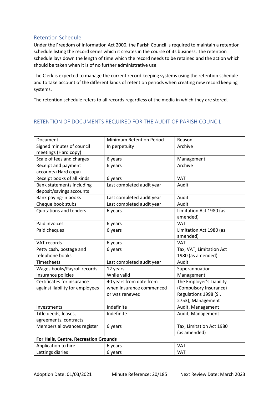#### Retention Schedule

Under the Freedom of Information Act 2000, the Parish Council is required to maintain a retention schedule listing the record series which it creates in the course of its business. The retention schedule lays down the length of time which the record needs to be retained and the action which should be taken when it is of no further administrative use.

The Clerk is expected to manage the current record keeping systems using the retention schedule and to take account of the different kinds of retention periods when creating new record keeping systems.

The retention schedule refers to all records regardless of the media in which they are stored.

#### RETENTION OF DOCUMENTS REQUIRED FOR THE AUDIT OF PARISH COUNCIL

| Document                              | Minimum Retention Period  | Reason                   |  |
|---------------------------------------|---------------------------|--------------------------|--|
| Signed minutes of council             | In perpetuity             | Archive                  |  |
| meetings (Hard copy)                  |                           |                          |  |
| Scale of fees and charges             | 6 years                   | Management               |  |
| Receipt and payment                   | 6 years                   | Archive                  |  |
| accounts (Hard copy)                  |                           |                          |  |
| Receipt books of all kinds            | 6 years                   | VAT                      |  |
| Bank statements including             | Last completed audit year | Audit                    |  |
| deposit/savings accounts              |                           |                          |  |
| Bank paying-in books                  | Last completed audit year | Audit                    |  |
| Cheque book stubs                     | Last completed audit year | Audit                    |  |
| Quotations and tenders                | 6 years                   | Limitation Act 1980 (as  |  |
|                                       |                           | amended)                 |  |
| Paid invoices                         | 6 years                   | <b>VAT</b>               |  |
| Paid cheques                          | 6 years                   | Limitation Act 1980 (as  |  |
|                                       |                           | amended)                 |  |
| VAT records                           | 6 years                   | <b>VAT</b>               |  |
| Petty cash, postage and               | 6 years                   | Tax, VAT, Limitation Act |  |
| telephone books                       |                           | 1980 (as amended)        |  |
| Timesheets                            | Last completed audit year | Audit                    |  |
| Wages books/Payroll records           | 12 years                  | Superannuation           |  |
| Insurance policies                    | While valid               | Management               |  |
| Certificates for insurance            | 40 years from date from   | The Employer's Liability |  |
| against liability for employees       | when insurance commenced  | (Compulsory Insurance)   |  |
|                                       | or was renewed            | Regulations 1998 (SI.    |  |
|                                       |                           | 2753), Management        |  |
| Investments                           | Indefinite                | Audit, Management        |  |
| Title deeds, leases,                  | Indefinite                | Audit, Management        |  |
| agreements, contracts                 |                           |                          |  |
| Members allowances register           | 6 years                   | Tax, Limitation Act 1980 |  |
|                                       |                           | (as amended)             |  |
| For Halls, Centre, Recreation Grounds |                           |                          |  |
| Application to hire                   | 6 years                   | <b>VAT</b>               |  |
| Lettings diaries                      | 6 years                   | <b>VAT</b>               |  |